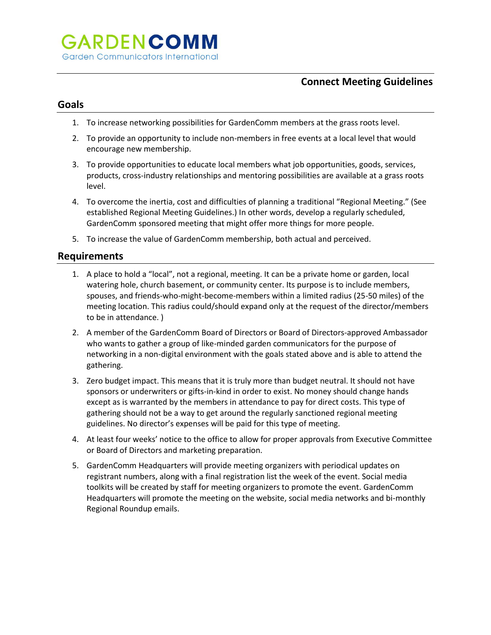## **Connect Meeting Guidelines**

#### **Goals**

- 1. To increase networking possibilities for GardenComm members at the grass roots level.
- 2. To provide an opportunity to include non-members in free events at a local level that would encourage new membership.
- 3. To provide opportunities to educate local members what job opportunities, goods, services, products, cross-industry relationships and mentoring possibilities are available at a grass roots level.
- 4. To overcome the inertia, cost and difficulties of planning a traditional "Regional Meeting." (See established Regional Meeting Guidelines.) In other words, develop a regularly scheduled, GardenComm sponsored meeting that might offer more things for more people.
- 5. To increase the value of GardenComm membership, both actual and perceived.

#### **Requirements**

- 1. A place to hold a "local", not a regional, meeting. It can be a private home or garden, local watering hole, church basement, or community center. Its purpose is to include members, spouses, and friends-who-might-become-members within a limited radius (25-50 miles) of the meeting location. This radius could/should expand only at the request of the director/members to be in attendance. )
- 2. A member of the GardenComm Board of Directors or Board of Directors-approved Ambassador who wants to gather a group of like-minded garden communicators for the purpose of networking in a non-digital environment with the goals stated above and is able to attend the gathering.
- 3. Zero budget impact. This means that it is truly more than budget neutral. It should not have sponsors or underwriters or gifts-in-kind in order to exist. No money should change hands except as is warranted by the members in attendance to pay for direct costs. This type of gathering should not be a way to get around the regularly sanctioned regional meeting guidelines. No director's expenses will be paid for this type of meeting.
- 4. At least four weeks' notice to the office to allow for proper approvals from Executive Committee or Board of Directors and marketing preparation.
- 5. GardenComm Headquarters will provide meeting organizers with periodical updates on registrant numbers, along with a final registration list the week of the event. Social media toolkits will be created by staff for meeting organizers to promote the event. GardenComm Headquarters will promote the meeting on the website, social media networks and bi-monthly Regional Roundup emails.